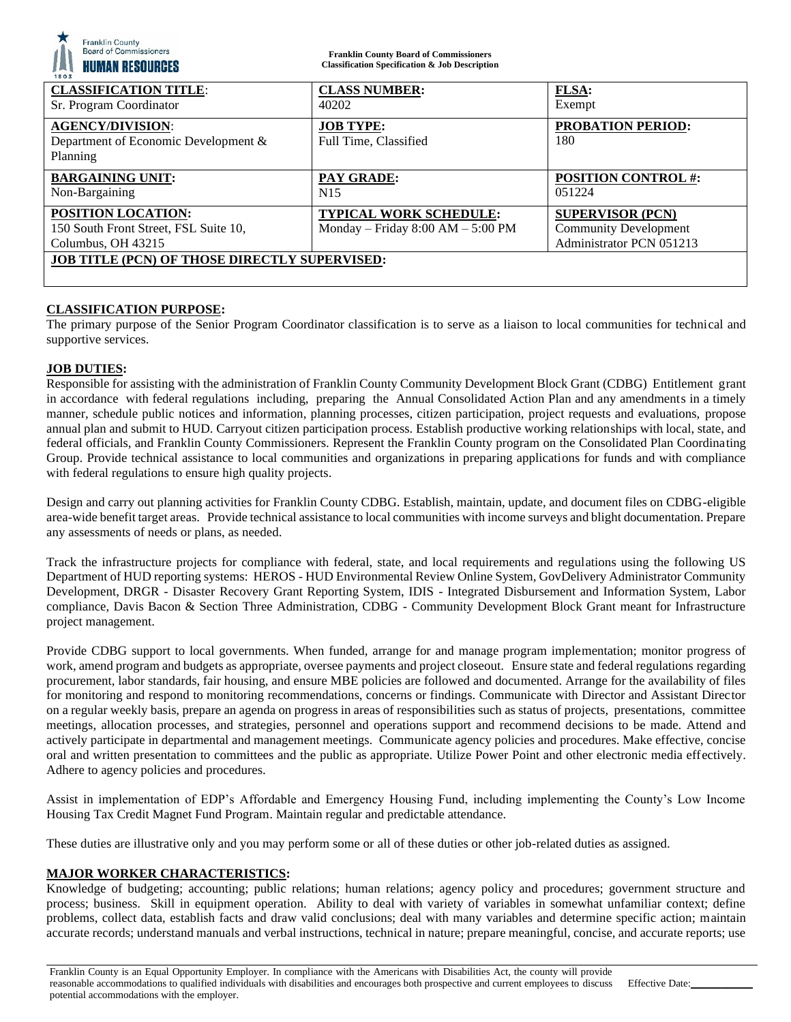| <b>Franklin County</b><br>Board of Commissioners<br><b>HUMAN RESOURCES</b><br>1803 | <b>Franklin County Board of Commissioners</b><br><b>Classification Specification &amp; Job Description</b> |                                      |
|------------------------------------------------------------------------------------|------------------------------------------------------------------------------------------------------------|--------------------------------------|
| <b>CLASSIFICATION TITLE:</b>                                                       | <b>CLASS NUMBER:</b>                                                                                       | <b>FLSA:</b>                         |
| Sr. Program Coordinator                                                            | 40202                                                                                                      | Exempt                               |
| <b>AGENCY/DIVISION:</b><br>Department of Economic Development &<br>Planning        | <b>JOB TYPE:</b><br>Full Time, Classified                                                                  | <b>PROBATION PERIOD:</b><br>180      |
| <b>BARGAINING UNIT:</b><br>Non-Bargaining                                          | <b>PAY GRADE:</b><br>N <sub>15</sub>                                                                       | <b>POSITION CONTROL #:</b><br>051224 |
| POSITION LOCATION:                                                                 | <b>TYPICAL WORK SCHEDULE:</b>                                                                              | <b>SUPERVISOR (PCN)</b>              |
| 150 South Front Street, FSL Suite 10,                                              | Monday – Friday $8:00$ AM – $5:00$ PM                                                                      | <b>Community Development</b>         |
| Columbus, OH 43215                                                                 |                                                                                                            | Administrator PCN 051213             |
| <b>JOB TITLE (PCN) OF THOSE DIRECTLY SUPERVISED:</b>                               |                                                                                                            |                                      |

## **CLASSIFICATION PURPOSE:**

The primary purpose of the Senior Program Coordinator classification is to serve as a liaison to local communities for technical and supportive services.

## **JOB DUTIES:**

Responsible for assisting with the administration of Franklin County Community Development Block Grant (CDBG) Entitlement grant in accordance with federal regulations including, preparing the Annual Consolidated Action Plan and any amendments in a timely manner, schedule public notices and information, planning processes, citizen participation, project requests and evaluations, propose annual plan and submit to HUD. Carryout citizen participation process. Establish productive working relationships with local, state, and federal officials, and Franklin County Commissioners. Represent the Franklin County program on the Consolidated Plan Coordinating Group. Provide technical assistance to local communities and organizations in preparing applications for funds and with compliance with federal regulations to ensure high quality projects.

Design and carry out planning activities for Franklin County CDBG. Establish, maintain, update, and document files on CDBG-eligible area-wide benefit target areas. Provide technical assistance to local communities with income surveys and blight documentation. Prepare any assessments of needs or plans, as needed.

Track the infrastructure projects for compliance with federal, state, and local requirements and regulations using the following US Department of HUD reporting systems: HEROS - HUD Environmental Review Online System, GovDelivery Administrator Community Development, DRGR - Disaster Recovery Grant Reporting System, IDIS - Integrated Disbursement and Information System, Labor compliance, Davis Bacon & Section Three Administration, CDBG - Community Development Block Grant meant for Infrastructure project management.

Provide CDBG support to local governments. When funded, arrange for and manage program implementation; monitor progress of work, amend program and budgets as appropriate, oversee payments and project closeout. Ensure state and federal regulations regarding procurement, labor standards, fair housing, and ensure MBE policies are followed and documented. Arrange for the availability of files for monitoring and respond to monitoring recommendations, concerns or findings. Communicate with Director and Assistant Director on a regular weekly basis, prepare an agenda on progress in areas of responsibilities such as status of projects, presentations, committee meetings, allocation processes, and strategies, personnel and operations support and recommend decisions to be made. Attend and actively participate in departmental and management meetings. Communicate agency policies and procedures. Make effective, concise oral and written presentation to committees and the public as appropriate. Utilize Power Point and other electronic media effectively. Adhere to agency policies and procedures.

Assist in implementation of EDP's Affordable and Emergency Housing Fund, including implementing the County's Low Income Housing Tax Credit Magnet Fund Program. Maintain regular and predictable attendance.

These duties are illustrative only and you may perform some or all of these duties or other job-related duties as assigned.

## **MAJOR WORKER CHARACTERISTICS:**

Knowledge of budgeting; accounting; public relations; human relations; agency policy and procedures; government structure and process; business. Skill in equipment operation. Ability to deal with variety of variables in somewhat unfamiliar context; define problems, collect data, establish facts and draw valid conclusions; deal with many variables and determine specific action; maintain accurate records; understand manuals and verbal instructions, technical in nature; prepare meaningful, concise, and accurate reports; use